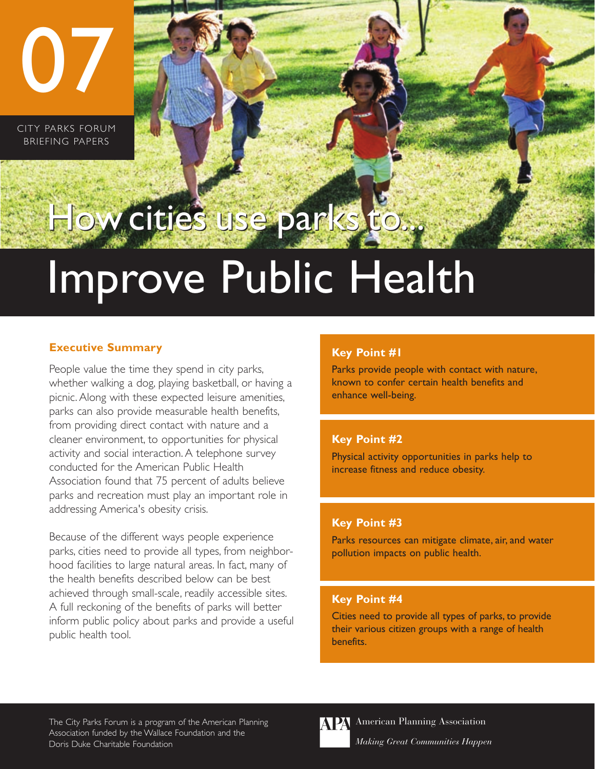CITY PARKS FORUM BRIEFING PAPERS

07

# How cities use parks to.

# Improve Public Health

#### **Executive Summary**

People value the time they spend in city parks, whether walking a dog, playing basketball, or having a picnic. Along with these expected leisure amenities, parks can also provide measurable health benefits, from providing direct contact with nature and a cleaner environment, to opportunities for physical activity and social interaction. A telephone survey conducted for the American Public Health Association found that 75 percent of adults believe parks and recreation must play an important role in addressing America's obesity crisis.

Because of the different ways people experience parks, cities need to provide all types, from neighborhood facilities to large natural areas. In fact, many of the health benefits described below can be best achieved through small-scale, readily accessible sites. A full reckoning of the benefits of parks will better inform public policy about parks and provide a useful public health tool.

## **Key Point #1**

Parks provide people with contact with nature, known to confer certain health benefits and enhance well-being.

### **Key Point #2**

Physical activity opportunities in parks help to increase fitness and reduce obesity.

#### **Key Point #3**

Parks resources can mitigate climate, air, and water pollution impacts on public health.

#### **Key Point #4**

Cities need to provide all types of parks, to provide their various citizen groups with a range of health benefits.

The City Parks Forum is a program of the American Planning Association funded by the Wallace Foundation and the Doris Duke Charitable Foundation



**APA** American Planning Association *Making Great Communities Happen*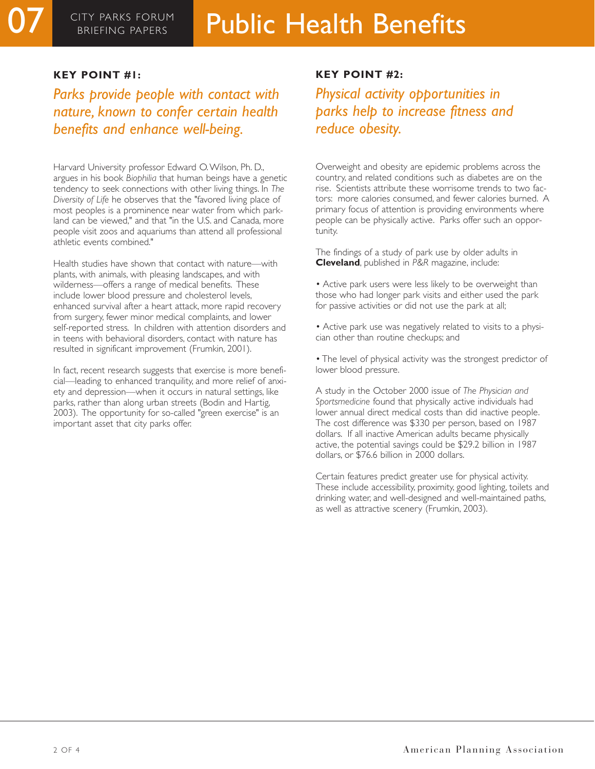#### **KEY POINT #1:**

*Parks provide people with contact with nature, known to confer certain health benefits and enhance well-being.*

Harvard University professor Edward O.Wilson, Ph. D., argues in his book *Biophilia* that human beings have a genetic tendency to seek connections with other living things. In *The Diversity of Life* he observes that the "favored living place of most peoples is a prominence near water from which parkland can be viewed," and that "in the U.S. and Canada, more people visit zoos and aquariums than attend all professional athletic events combined."

Health studies have shown that contact with nature—with plants, with animals, with pleasing landscapes, and with wilderness—offers a range of medical benefits. These include lower blood pressure and cholesterol levels, enhanced survival after a heart attack, more rapid recovery from surgery, fewer minor medical complaints, and lower self-reported stress. In children with attention disorders and in teens with behavioral disorders, contact with nature has resulted in significant improvement (Frumkin, 2001).

In fact, recent research suggests that exercise is more beneficial—leading to enhanced tranquility, and more relief of anxiety and depression—when it occurs in natural settings, like parks, rather than along urban streets (Bodin and Hartig, 2003). The opportunity for so-called "green exercise" is an important asset that city parks offer.

#### **KEY POINT #2:**

*Physical activity opportunities in parks help to increase fitness and reduce obesity.*

Overweight and obesity are epidemic problems across the country, and related conditions such as diabetes are on the rise. Scientists attribute these worrisome trends to two factors: more calories consumed, and fewer calories burned. A primary focus of attention is providing environments where people can be physically active. Parks offer such an opportunity.

The findings of a study of park use by older adults in **Cleveland**, published in *P&R* magazine, include:

- Active park users were less likely to be overweight than those who had longer park visits and either used the park for passive activities or did not use the park at all;
- Active park use was negatively related to visits to a physician other than routine checkups; and

• The level of physical activity was the strongest predictor of lower blood pressure.

A study in the October 2000 issue of *The Physician and Sportsmedicine* found that physically active individuals had lower annual direct medical costs than did inactive people. The cost difference was \$330 per person, based on 1987 dollars. If all inactive American adults became physically active, the potential savings could be \$29.2 billion in 1987 dollars, or \$76.6 billion in 2000 dollars.

Certain features predict greater use for physical activity. These include accessibility, proximity, good lighting, toilets and drinking water, and well-designed and well-maintained paths, as well as attractive scenery (Frumkin, 2003).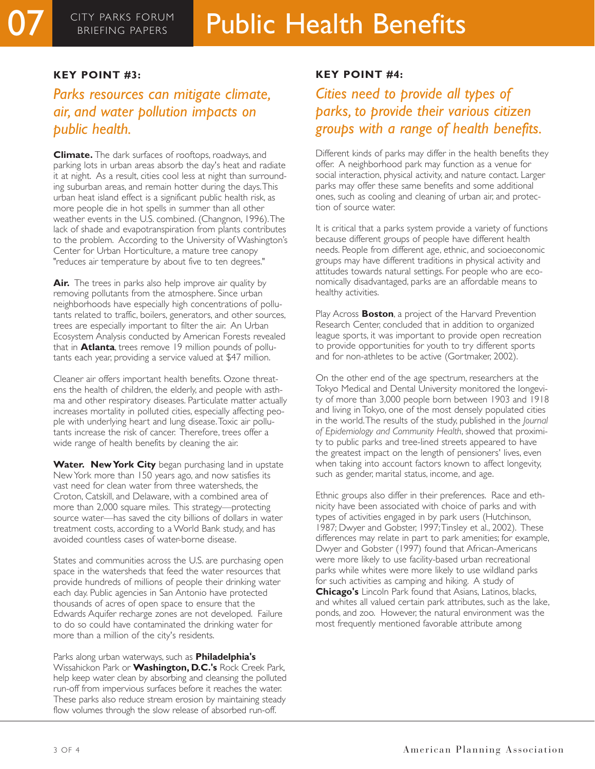### **KEY POINT #3:**

## *Parks resources can mitigate climate, air, and water pollution impacts on public health.*

**Climate.** The dark surfaces of rooftops, roadways, and parking lots in urban areas absorb the day's heat and radiate it at night. As a result, cities cool less at night than surrounding suburban areas, and remain hotter during the days.This urban heat island effect is a significant public health risk, as more people die in hot spells in summer than all other weather events in the U.S. combined. (Changnon, 1996).The lack of shade and evapotranspiration from plants contributes to the problem. According to the University of Washington's Center for Urban Horticulture, a mature tree canopy "reduces air temperature by about five to ten degrees."

Air. The trees in parks also help improve air quality by removing pollutants from the atmosphere. Since urban neighborhoods have especially high concentrations of pollutants related to traffic, boilers, generators, and other sources, trees are especially important to filter the air. An Urban Ecosystem Analysis conducted by American Forests revealed that in **Atlanta**, trees remove 19 million pounds of pollutants each year, providing a service valued at \$47 million.

Cleaner air offers important health benefits. Ozone threatens the health of children, the elderly, and people with asthma and other respiratory diseases. Particulate matter actually increases mortality in polluted cities, especially affecting people with underlying heart and lung disease.Toxic air pollutants increase the risk of cancer. Therefore, trees offer a wide range of health benefits by cleaning the air.

Water. New York City began purchasing land in upstate New York more than 150 years ago, and now satisfies its vast need for clean water from three watersheds, the Croton, Catskill, and Delaware, with a combined area of more than 2,000 square miles. This strategy—protecting source water—has saved the city billions of dollars in water treatment costs, according to a World Bank study, and has avoided countless cases of water-borne disease.

States and communities across the U.S. are purchasing open space in the watersheds that feed the water resources that provide hundreds of millions of people their drinking water each day. Public agencies in San Antonio have protected thousands of acres of open space to ensure that the Edwards Aquifer recharge zones are not developed. Failure to do so could have contaminated the drinking water for more than a million of the city's residents.

Parks along urban waterways, such as **Philadelphia's** Wissahickon Park or **Washington, D.C.'s** Rock Creek Park, help keep water clean by absorbing and cleansing the polluted run-off from impervious surfaces before it reaches the water. These parks also reduce stream erosion by maintaining steady flow volumes through the slow release of absorbed run-off.

#### **KEY POINT #4:**

# *Cities need to provide all types of parks, to provide their various citizen groups with a range of health benefits.*

Different kinds of parks may differ in the health benefits they offer. A neighborhood park may function as a venue for social interaction, physical activity, and nature contact. Larger parks may offer these same benefits and some additional ones, such as cooling and cleaning of urban air, and protection of source water.

It is critical that a parks system provide a variety of functions because different groups of people have different health needs. People from different age, ethnic, and socioeconomic groups may have different traditions in physical activity and attitudes towards natural settings. For people who are economically disadvantaged, parks are an affordable means to healthy activities.

Play Across **Boston**, a project of the Harvard Prevention Research Center, concluded that in addition to organized league sports, it was important to provide open recreation to provide opportunities for youth to try different sports and for non-athletes to be active (Gortmaker, 2002).

On the other end of the age spectrum, researchers at the Tokyo Medical and Dental University monitored the longevity of more than 3,000 people born between 1903 and 1918 and living in Tokyo, one of the most densely populated cities in the world.The results of the study, published in the *Journal of Epidemiology and Community Health*, showed that proximity to public parks and tree-lined streets appeared to have the greatest impact on the length of pensioners' lives, even when taking into account factors known to affect longevity, such as gender, marital status, income, and age.

Ethnic groups also differ in their preferences. Race and ethnicity have been associated with choice of parks and with types of activities engaged in by park users (Hutchinson, 1987; Dwyer and Gobster, 1997;Tinsley et al., 2002). These differences may relate in part to park amenities; for example, Dwyer and Gobster (1997) found that African-Americans were more likely to use facility-based urban recreational parks while whites were more likely to use wildland parks for such activities as camping and hiking. A study of **Chicago's** Lincoln Park found that Asians, Latinos, blacks, and whites all valued certain park attributes, such as the lake, ponds, and zoo. However, the natural environment was the most frequently mentioned favorable attribute among